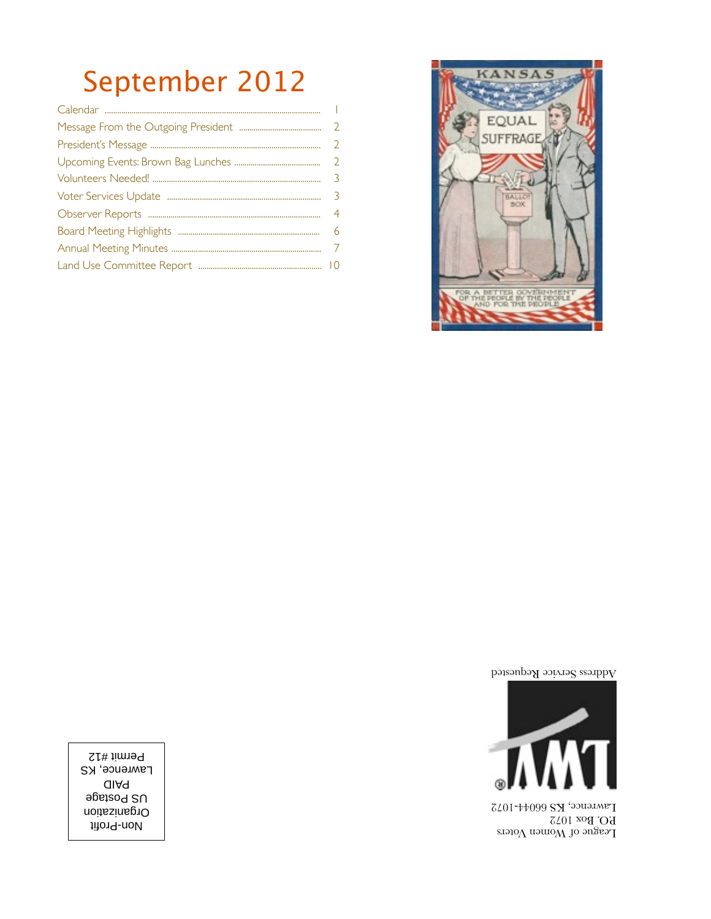# September 2012



Address Service Requested



League of Women Voters P.O. Box 1072 Lawrence, KS 66044-1072

Non-Profit Organization US Postage PAID **Lawrence, KS** Permit #12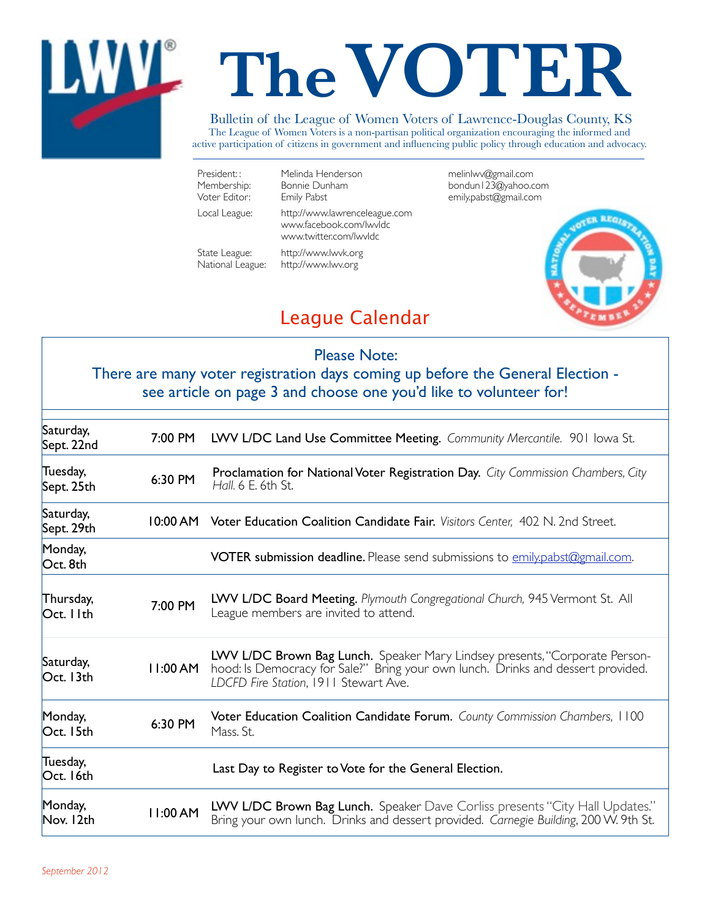

# **TheVOTER**

#### Bulletin of the League of Women Voters of Lawrence-Douglas County, KS

The League of Women Voters is a non-partisan political organization encouraging the informed and active participation of citizens in government and influencing public policy through education and advocacy.

| President::<br>Membership:<br>Voter Editor: | Melinda Henderson<br>Bonnie Dunham<br>Emily Pabst                                   | melinlwv@gmail.com<br>bondun I 23@yahoo.com<br>emily.pabst@gmail.com |
|---------------------------------------------|-------------------------------------------------------------------------------------|----------------------------------------------------------------------|
| Local League:                               | http://www.lawrenceleague.com<br>www.facebook.com/lwvldc.<br>www.twitter.com/lwvldc |                                                                      |
| State League:<br>National League:           | http://www.lwvk.org<br>http://www.lwv.org                                           |                                                                      |



# League Calendar

| <b>Please Note:</b><br>There are many voter registration days coming up before the General Election -<br>see article on page 3 and choose one you'd like to volunteer for! |          |                                                                                                                                                                                                          |  |  |  |
|----------------------------------------------------------------------------------------------------------------------------------------------------------------------------|----------|----------------------------------------------------------------------------------------------------------------------------------------------------------------------------------------------------------|--|--|--|
| Saturday,<br>Sept. 22nd                                                                                                                                                    | 7:00 PM  | LWV L/DC Land Use Committee Meeting. Community Mercantile. 901 lowa St.                                                                                                                                  |  |  |  |
| Tuesday,<br>Sept. 25th                                                                                                                                                     | 6:30 PM  | Proclamation for National Voter Registration Day. City Commission Chambers, City<br>Hall, 6 E, 6th St.                                                                                                   |  |  |  |
| Saturday,<br>Sept. 29th                                                                                                                                                    |          | 10:00 AM Voter Education Coalition Candidate Fair. Visitors Center. 402 N. 2nd Street.                                                                                                                   |  |  |  |
| Monday,<br>Oct. 8th                                                                                                                                                        |          | <b>VOTER submission deadline.</b> Please send submissions to emily.pabst@gmail.com.                                                                                                                      |  |  |  |
| Thursday,<br>Oct. I Ith                                                                                                                                                    | 7:00 PM  | LWV L/DC Board Meeting. Plymouth Congregational Church, 945 Vermont St. All<br>League members are invited to attend.                                                                                     |  |  |  |
| Saturday,<br>Oct. 13th                                                                                                                                                     | 11:00 AM | LWV L/DC Brown Bag Lunch. Speaker Mary Lindsey presents, "Corporate Person-<br>hood: Is Democracy for Sale?" Bring your own lunch. Drinks and dessert provided.<br>LDCFD Fire Station, 1911 Stewart Ave. |  |  |  |
| Monday,<br>Oct. 15th                                                                                                                                                       | 6:30 PM  | Voter Education Coalition Candidate Forum. County Commission Chambers, 1100<br>Mass. St.                                                                                                                 |  |  |  |
| Tuesday,<br>Oct. 16th                                                                                                                                                      |          | Last Day to Register to Vote for the General Election.                                                                                                                                                   |  |  |  |
| Monday,<br>Nov. 12th                                                                                                                                                       | 11:00 AM | LWV L/DC Brown Bag Lunch. Speaker Dave Corliss presents "City Hall Updates."<br>Bring your own lunch. Drinks and dessert provided. Carnegie Building, 200 W. 9th St.                                     |  |  |  |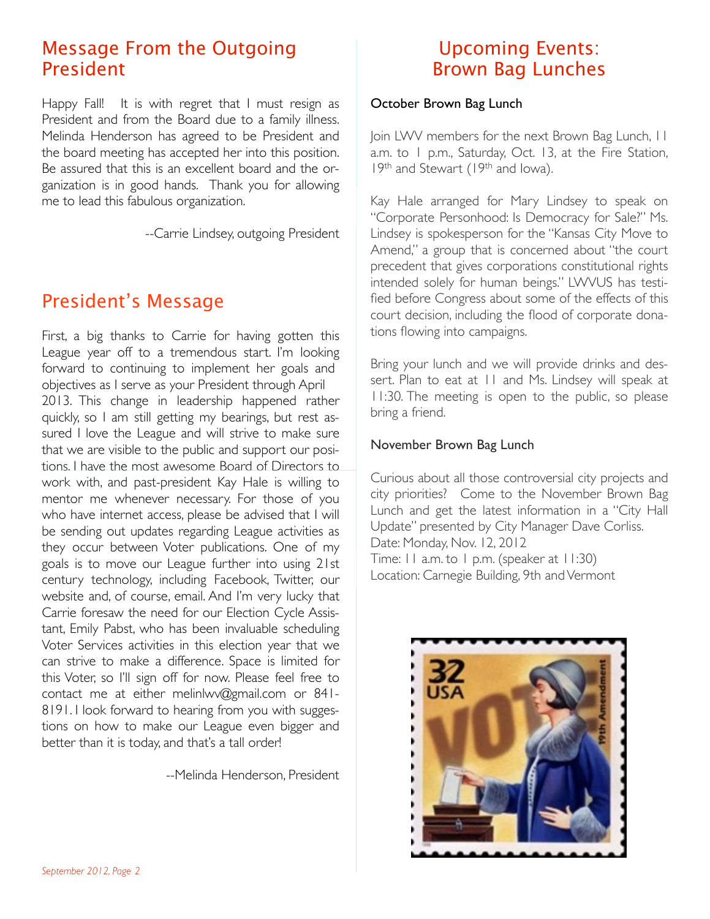# Message From the Outgoing President

Happy Fall! It is with regret that I must resign as President and from the Board due to a family illness. Melinda Henderson has agreed to be President and the board meeting has accepted her into this position. Be assured that this is an excellent board and the organization is in good hands. Thank you for allowing me to lead this fabulous organization.

--Carrie Lindsey, outgoing President

# President's Message

First, a big thanks to Carrie for having gotten this League year off to a tremendous start. I'm looking forward to continuing to implement her goals and objectives as I serve as your President through April 2013. This change in leadership happened rather quickly, so I am still getting my bearings, but rest assured I love the League and will strive to make sure that we are visible to the public and support our positions. I have the most awesome Board of Directors to work with, and past-president Kay Hale is willing to mentor me whenever necessary. For those of you who have internet access, please be advised that I will be sending out updates regarding League activities as they occur between Voter publications. One of my goals is to move our League further into using 21st century technology, including Facebook, Twitter, our website and, of course, email. And I'm very lucky that Carrie foresaw the need for our Election Cycle Assistant, Emily Pabst, who has been invaluable scheduling Voter Services activities in this election year that we can strive to make a difference. Space is limited for this Voter, so I'll sign off for now. Please feel free to contact me at either [melinlwv@gmail.com](mailto:melinlwv@gmail.com) or 841- 8191. I look forward to hearing from you with suggestions on how to make our League even bigger and better than it is today, and that's a tall order!

--Melinda Henderson, President

# Upcoming Events: Brown Bag Lunches

#### October Brown Bag Lunch

Join LWV members for the next Brown Bag Lunch, 11 a.m. to 1 p.m., Saturday, Oct. 13, at the Fire Station, 19th and Stewart (19th and Iowa).

Kay Hale arranged for Mary Lindsey to speak on "Corporate Personhood: Is Democracy for Sale?" Ms. Lindsey is spokesperson for the "Kansas City Move to Amend," a group that is concerned about "the court precedent that gives corporations constitutional rights intended solely for human beings." LWVUS has testified before Congress about some of the effects of this court decision, including the flood of corporate donations flowing into campaigns.

Bring your lunch and we will provide drinks and dessert. Plan to eat at 11 and Ms. Lindsey will speak at 11:30. The meeting is open to the public, so please bring a friend.

#### November Brown Bag Lunch

Curious about all those controversial city projects and city priorities? Come to the November Brown Bag Lunch and get the latest information in a "City Hall Update" presented by City Manager Dave Corliss. Date: Monday, Nov. 12, 2012 Time: 11 a.m. to 1 p.m. (speaker at 11:30) Location: Carnegie Building, 9th and Vermont

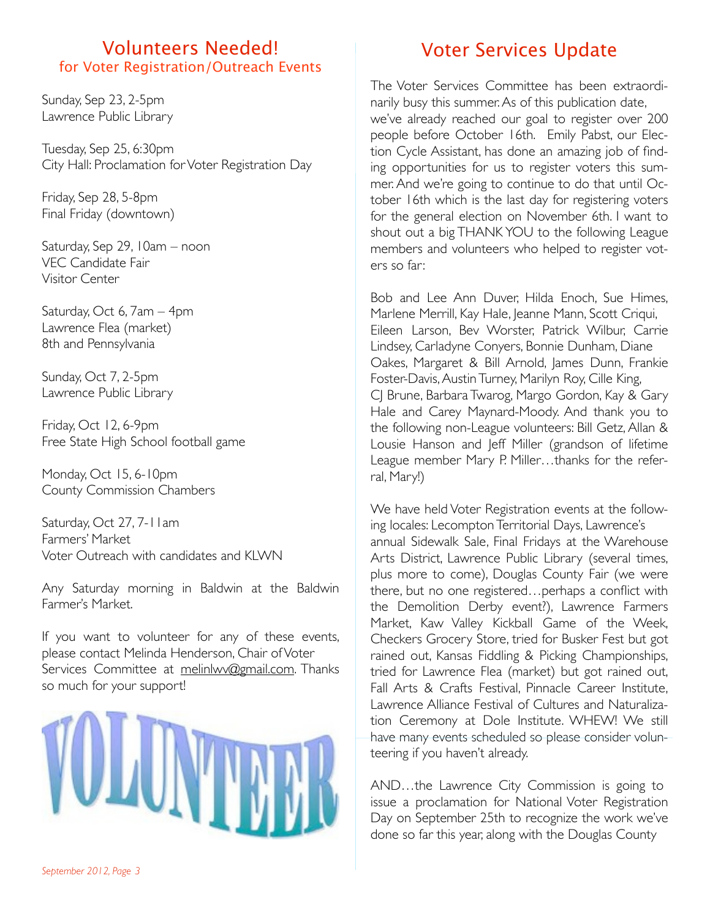#### Volunteers Needed! for Voter Registration/Outreach Events

Sunday, Sep 23, 2-5pm Lawrence Public Library

Tuesday, Sep 25, 6:30pm City Hall: Proclamation for Voter Registration Day

Friday, Sep 28, 5-8pm Final Friday (downtown)

Saturday, Sep 29, 10am – noon VEC Candidate Fair Visitor Center

Saturday, Oct 6, 7am – 4pm Lawrence Flea (market) 8th and Pennsylvania

Sunday, Oct 7, 2-5pm Lawrence Public Library

Friday, Oct 12, 6-9pm Free State High School football game

Monday, Oct 15, 6-10pm County Commission Chambers

Saturday, Oct 27, 7-11am Farmers' Market Voter Outreach with candidates and KLWN

Any Saturday morning in Baldwin at the Baldwin Farmer's Market.

If you want to volunteer for any of these events, please contact Melinda Henderson, Chair of Voter Services Committee at [melinlwv@gmail.com](mailto:melinlwv@gmail.com). Thanks so much for your support!



# Voter Services Update

The Voter Services Committee has been extraordinarily busy this summer. As of this publication date, we've already reached our goal to register over 200 people before October 16th. Emily Pabst, our Election Cycle Assistant, has done an amazing job of finding opportunities for us to register voters this summer. And we're going to continue to do that until October 16th which is the last day for registering voters for the general election on November 6th. I want to shout out a big THANK YOU to the following League members and volunteers who helped to register voters so far:

Bob and Lee Ann Duver, Hilda Enoch, Sue Himes, Marlene Merrill, Kay Hale, Jeanne Mann, Scott Criqui, Eileen Larson, Bev Worster, Patrick Wilbur, Carrie Lindsey, Carladyne Conyers, Bonnie Dunham, Diane Oakes, Margaret & Bill Arnold, James Dunn, Frankie Foster-Davis, Austin Turney, Marilyn Roy, Cille King, CJ Brune, Barbara Twarog, Margo Gordon, Kay & Gary Hale and Carey Maynard-Moody. And thank you to the following non-League volunteers: Bill Getz, Allan & Lousie Hanson and Jeff Miller (grandson of lifetime League member Mary P. Miller…thanks for the referral, Mary!)

We have held Voter Registration events at the following locales: Lecompton Territorial Days, Lawrence's annual Sidewalk Sale, Final Fridays at the Warehouse Arts District, Lawrence Public Library (several times, plus more to come), Douglas County Fair (we were there, but no one registered…perhaps a conflict with the Demolition Derby event?), Lawrence Farmers Market, Kaw Valley Kickball Game of the Week, Checkers Grocery Store, tried for Busker Fest but got rained out, Kansas Fiddling & Picking Championships, tried for Lawrence Flea (market) but got rained out, Fall Arts & Crafts Festival, Pinnacle Career Institute, Lawrence Alliance Festival of Cultures and Naturalization Ceremony at Dole Institute. WHEW! We still have many events scheduled so please consider volunteering if you haven't already.

AND…the Lawrence City Commission is going to issue a proclamation for National Voter Registration Day on September 25th to recognize the work we've done so far this year, along with the Douglas County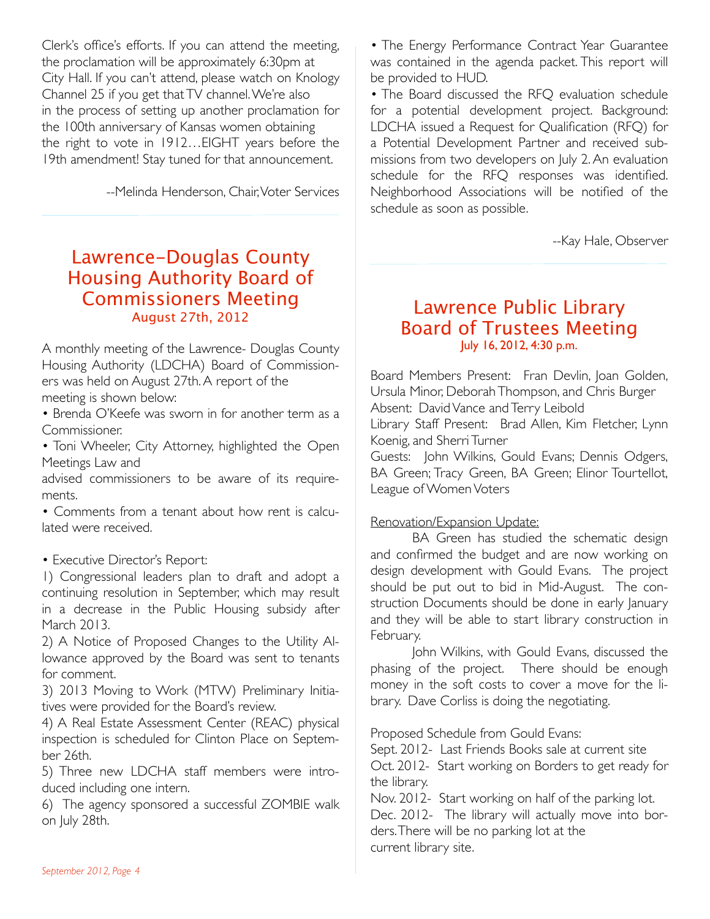Clerk's office's efforts. If you can attend the meeting, the proclamation will be approximately 6:30pm at City Hall. If you can't attend, please watch on Knology Channel 25 if you get that TV channel. We're also in the process of setting up another proclamation for the 100th anniversary of Kansas women obtaining the right to vote in 1912…EIGHT years before the 19th amendment! Stay tuned for that announcement.

--Melinda Henderson, Chair, Voter Services

# Lawrence-Douglas County Housing Authority Board of Commissioners Meeting August 27th, 2012

A monthly meeting of the Lawrence- Douglas County Housing Authority (LDCHA) Board of Commissioners was held on August 27th. A report of the meeting is shown below:

• Brenda O'Keefe was sworn in for another term as a Commissioner.

• Toni Wheeler, City Attorney, highlighted the Open Meetings Law and

advised commissioners to be aware of its requirements.

• Comments from a tenant about how rent is calculated were received.

#### • Executive Director's Report:

1) Congressional leaders plan to draft and adopt a continuing resolution in September, which may result in a decrease in the Public Housing subsidy after March 2013.

2) A Notice of Proposed Changes to the Utility Allowance approved by the Board was sent to tenants for comment.

3) 2013 Moving to Work (MTW) Preliminary Initiatives were provided for the Board's review.

4) A Real Estate Assessment Center (REAC) physical inspection is scheduled for Clinton Place on September 26th.

5) Three new LDCHA staff members were introduced including one intern.

6) The agency sponsored a successful ZOMBIE walk on July 28th.

• The Energy Performance Contract Year Guarantee was contained in the agenda packet. This report will be provided to HUD.

• The Board discussed the RFO evaluation schedule for a potential development project. Background: LDCHA issued a Request for Qualification (RFQ) for a Potential Development Partner and received submissions from two developers on July 2. An evaluation schedule for the RFQ responses was identified. Neighborhood Associations will be notified of the schedule as soon as possible.

--Kay Hale, Observer

## Lawrence Public Library Board of Trustees Meeting July 16, 2012, 4:30 p.m.

Board Members Present: Fran Devlin, Joan Golden, Ursula Minor, Deborah Thompson, and Chris Burger Absent: David Vance and Terry Leibold Library Staff Present: Brad Allen, Kim Fletcher, Lynn Koenig, and Sherri Turner Guests: John Wilkins, Gould Evans; Dennis Odgers,

BA Green; Tracy Green, BA Green; Elinor Tourtellot, League of Women Voters

#### Renovation/Expansion Update:

BA Green has studied the schematic design and confirmed the budget and are now working on design development with Gould Evans. The project should be put out to bid in Mid-August. The construction Documents should be done in early January and they will be able to start library construction in February.

John Wilkins, with Gould Evans, discussed the phasing of the project. There should be enough money in the soft costs to cover a move for the library. Dave Corliss is doing the negotiating.

Proposed Schedule from Gould Evans:

Sept. 2012- Last Friends Books sale at current site Oct. 2012- Start working on Borders to get ready for the library.

Nov. 2012- Start working on half of the parking lot. Dec. 2012- The library will actually move into borders. There will be no parking lot at the current library site.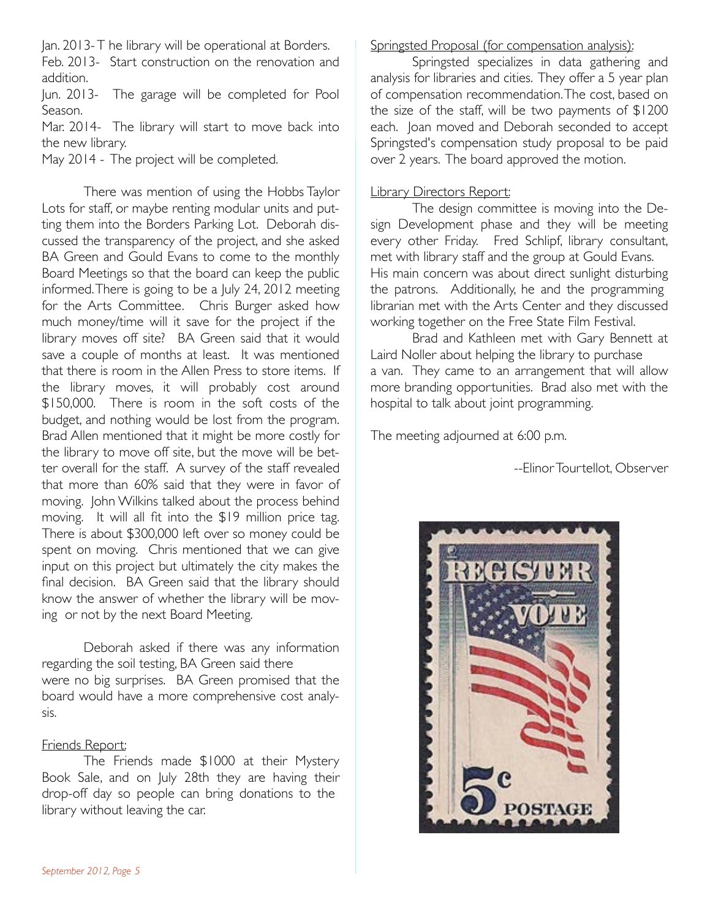Jan. 2013- T he library will be operational at Borders.

Feb. 2013- Start construction on the renovation and addition.

Jun. 2013- The garage will be completed for Pool Season.

Mar. 2014- The library will start to move back into the new library.

May 2014 - The project will be completed.

There was mention of using the Hobbs Taylor Lots for staff, or maybe renting modular units and putting them into the Borders Parking Lot. Deborah discussed the transparency of the project, and she asked BA Green and Gould Evans to come to the monthly Board Meetings so that the board can keep the public informed. There is going to be a July 24, 2012 meeting for the Arts Committee. Chris Burger asked how much money/time will it save for the project if the library moves off site? BA Green said that it would save a couple of months at least. It was mentioned that there is room in the Allen Press to store items. If the library moves, it will probably cost around \$150,000. There is room in the soft costs of the budget, and nothing would be lost from the program. Brad Allen mentioned that it might be more costly for the library to move off site, but the move will be better overall for the staff. A survey of the staff revealed that more than 60% said that they were in favor of moving. John Wilkins talked about the process behind moving. It will all fit into the \$19 million price tag. There is about \$300,000 left over so money could be spent on moving. Chris mentioned that we can give input on this project but ultimately the city makes the final decision. BA Green said that the library should know the answer of whether the library will be moving or not by the next Board Meeting.

Deborah asked if there was any information regarding the soil testing, BA Green said there were no big surprises. BA Green promised that the board would have a more comprehensive cost analysis.

#### Friends Report:

The Friends made \$1000 at their Mystery Book Sale, and on July 28th they are having their drop-off day so people can bring donations to the library without leaving the car.

#### Springsted Proposal (for compensation analysis):

Springsted specializes in data gathering and analysis for libraries and cities. They offer a 5 year plan of compensation recommendation. The cost, based on the size of the staff, will be two payments of \$1200 each. Joan moved and Deborah seconded to accept Springsted's compensation study proposal to be paid over 2 years. The board approved the motion.

#### Library Directors Report:

The design committee is moving into the Design Development phase and they will be meeting every other Friday. Fred Schlipf, library consultant, met with library staff and the group at Gould Evans. His main concern was about direct sunlight disturbing the patrons. Additionally, he and the programming librarian met with the Arts Center and they discussed working together on the Free State Film Festival.

Brad and Kathleen met with Gary Bennett at Laird Noller about helping the library to purchase a van. They came to an arrangement that will allow more branding opportunities. Brad also met with the hospital to talk about joint programming.

The meeting adjourned at 6:00 p.m.

--Elinor Tourtellot, Observer

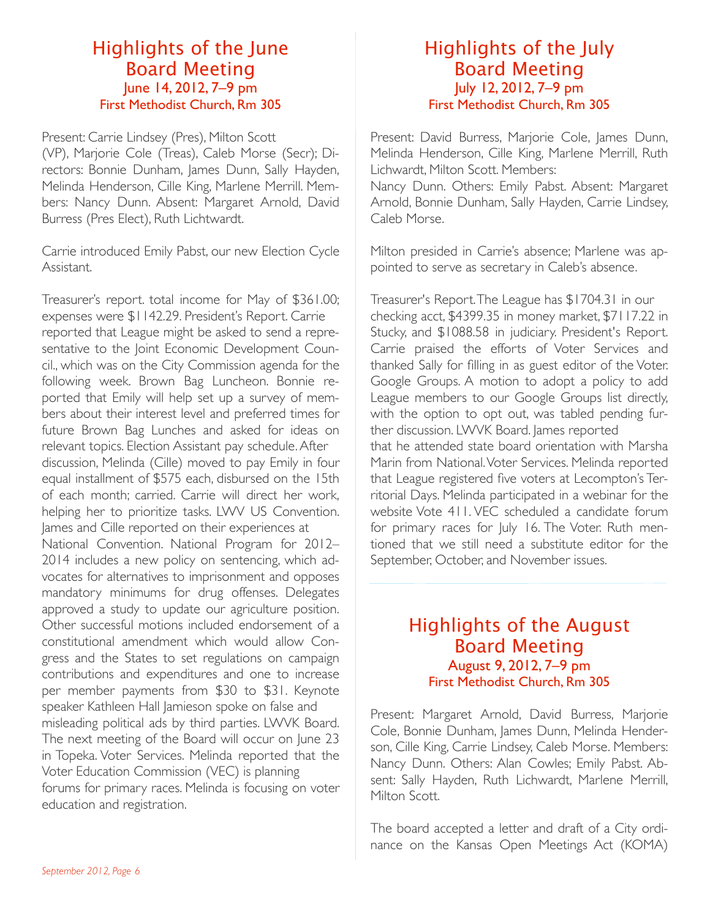## Highlights of the June Board Meeting June 14, 2012, 7–9 pm First Methodist Church, Rm 305

Present: Carrie Lindsey (Pres), Milton Scott (VP), Marjorie Cole (Treas), Caleb Morse (Secr); Directors: Bonnie Dunham, James Dunn, Sally Hayden, Melinda Henderson, Cille King, Marlene Merrill. Members: Nancy Dunn. Absent: Margaret Arnold, David Burress (Pres Elect), Ruth Lichtwardt.

Carrie introduced Emily Pabst, our new Election Cycle Assistant.

Treasurer's report. total income for May of \$361.00; expenses were \$1142.29. President's Report. Carrie reported that League might be asked to send a representative to the Joint Economic Development Council., which was on the City Commission agenda for the following week. Brown Bag Luncheon. Bonnie reported that Emily will help set up a survey of members about their interest level and preferred times for future Brown Bag Lunches and asked for ideas on relevant topics. Election Assistant pay schedule. After discussion, Melinda (Cille) moved to pay Emily in four equal installment of \$575 each, disbursed on the 15th of each month; carried. Carrie will direct her work, helping her to prioritize tasks. LWV US Convention. James and Cille reported on their experiences at National Convention. National Program for 2012– 2014 includes a new policy on sentencing, which advocates for alternatives to imprisonment and opposes mandatory minimums for drug offenses. Delegates approved a study to update our agriculture position. Other successful motions included endorsement of a constitutional amendment which would allow Congress and the States to set regulations on campaign contributions and expenditures and one to increase per member payments from \$30 to \$31. Keynote speaker Kathleen Hall Jamieson spoke on false and misleading political ads by third parties. LWVK Board. The next meeting of the Board will occur on June 23 in Topeka. Voter Services. Melinda reported that the Voter Education Commission (VEC) is planning forums for primary races. Melinda is focusing on voter education and registration.

#### Highlights of the July Board Meeting July 12, 2012, 7–9 pm First Methodist Church, Rm 305

Present: David Burress, Marjorie Cole, James Dunn, Melinda Henderson, Cille King, Marlene Merrill, Ruth Lichwardt, Milton Scott. Members:

Nancy Dunn. Others: Emily Pabst. Absent: Margaret Arnold, Bonnie Dunham, Sally Hayden, Carrie Lindsey, Caleb Morse.

Milton presided in Carrie's absence; Marlene was appointed to serve as secretary in Caleb's absence.

Treasurer's Report. The League has \$1704.31 in our checking acct, \$4399.35 in money market, \$7117.22 in Stucky, and \$1088.58 in judiciary. President's Report. Carrie praised the efforts of Voter Services and thanked Sally for filling in as guest editor of the Voter. Google Groups. A motion to adopt a policy to add League members to our Google Groups list directly, with the option to opt out, was tabled pending further discussion. LWVK Board. James reported that he attended state board orientation with Marsha Marin from National. Voter Services. Melinda reported that League registered five voters at Lecompton's Territorial Days. Melinda participated in a webinar for the website Vote 411. VEC scheduled a candidate forum for primary races for July 16. The Voter. Ruth mentioned that we still need a substitute editor for the September, October, and November issues.

## Highlights of the August Board Meeting August 9, 2012, 7–9 pm First Methodist Church, Rm 305

Present: Margaret Arnold, David Burress, Marjorie Cole, Bonnie Dunham, James Dunn, Melinda Henderson, Cille King, Carrie Lindsey, Caleb Morse. Members: Nancy Dunn. Others: Alan Cowles; Emily Pabst. Absent: Sally Hayden, Ruth Lichwardt, Marlene Merrill, Milton Scott.

The board accepted a letter and draft of a City ordinance on the Kansas Open Meetings Act (KOMA)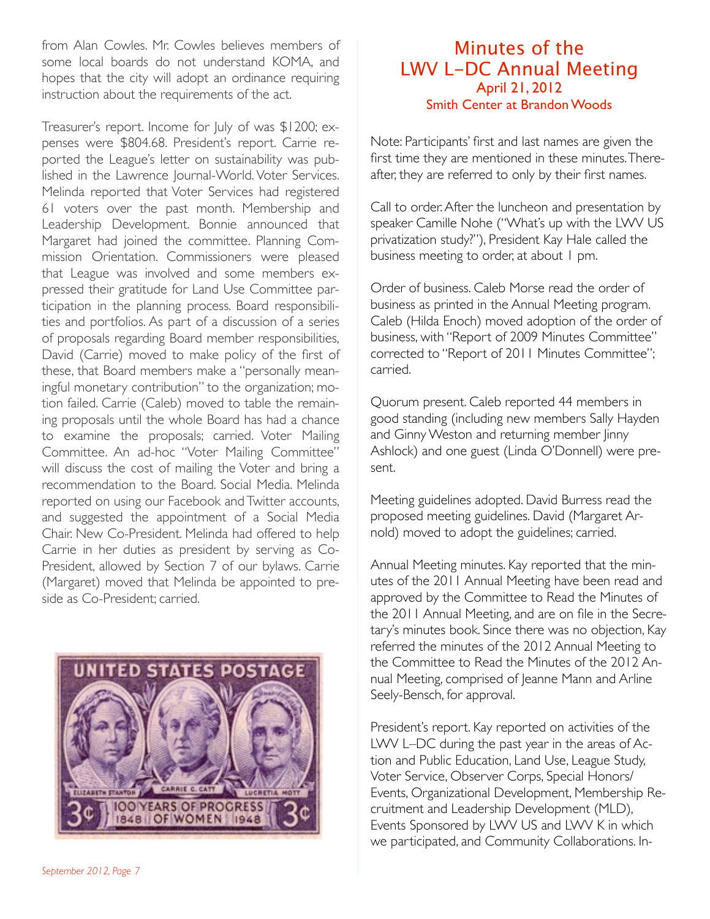from Alan Cowles. Mr. Cowles believes members of some local boards do not understand KOMA, and hopes that the city will adopt an ordinance requiring instruction about the requirements of the act.

Treasurer's report. Income for July of was \$1200; expenses were \$804.68. President's report. Carrie reported the League's letter on sustainability was published in the Lawrence Journal-World. Voter Services. Melinda reported that Voter Services had registered 61 voters over the past month. Membership and Leadership Development. Bonnie announced that Margaret had joined the committee. Planning Commission Orientation. Commissioners were pleased that League was involved and some members expressed their gratitude for Land Use Committee participation in the planning process. Board responsibilities and portfolios. As part of a discussion of a series of proposals regarding Board member responsibilities, David (Carrie) moved to make policy of the first of these, that Board members make a "personally meaningful monetary contribution" to the organization; motion failed. Carrie (Caleb) moved to table the remaining proposals until the whole Board has had a chance to examine the proposals; carried. Voter Mailing Committee. An ad-hoc "Voter Mailing Committee" will discuss the cost of mailing the Voter and bring a recommendation to the Board. Social Media. Melinda reported on using our Facebook and Twitter accounts, and suggested the appointment of a Social Media Chair. New Co-President. Melinda had offered to help Carrie in her duties as president by serving as Co-President, allowed by Section 7 of our bylaws. Carrie (Margaret) moved that Melinda be appointed to preside as Co-President; carried.



#### Minutes of the LWV L-DC Annual Meeting April 21, 2012 Smith Center at Brandon Woods

Note: Participants' first and last names are given the first time they are mentioned in these minutes. Thereafter, they are referred to only by their first names.

Call to order. After the luncheon and presentation by speaker Camille Nohe ("What's up with the LWV US privatization study?"), President Kay Hale called the business meeting to order, at about 1 pm.

Order of business. Caleb Morse read the order of business as printed in the Annual Meeting program. Caleb (Hilda Enoch) moved adoption of the order of business, with "Report of 2009 Minutes Committee" corrected to "Report of 2011 Minutes Committee"; carried.

Quorum present. Caleb reported 44 members in good standing (including new members Sally Hayden and Ginny Weston and returning member linny Ashlock) and one guest (Linda O'Donnell) were present.

Meeting guidelines adopted. David Burress read the proposed meeting guidelines. David (Margaret Arnold) moved to adopt the guidelines; carried.

Annual Meeting minutes. Kay reported that the minutes of the 2011 Annual Meeting have been read and approved by the Committee to Read the Minutes of the 2011 Annual Meeting, and are on file in the Secretary's minutes book. Since there was no objection, Kay referred the minutes of the 2012 Annual Meeting to the Committee to Read the Minutes of the 2012 Annual Meeting, comprised of Jeanne Mann and Arline Seely-Bensch, for approval.

President's report. Kay reported on activities of the LWV L–DC during the past year in the areas of Action and Public Education, Land Use, League Study, Voter Service, Observer Corps, Special Honors/ Events, Organizational Development, Membership Recruitment and Leadership Development (MLD), Events Sponsored by LWV US and LWV K in which we participated, and Community Collaborations. In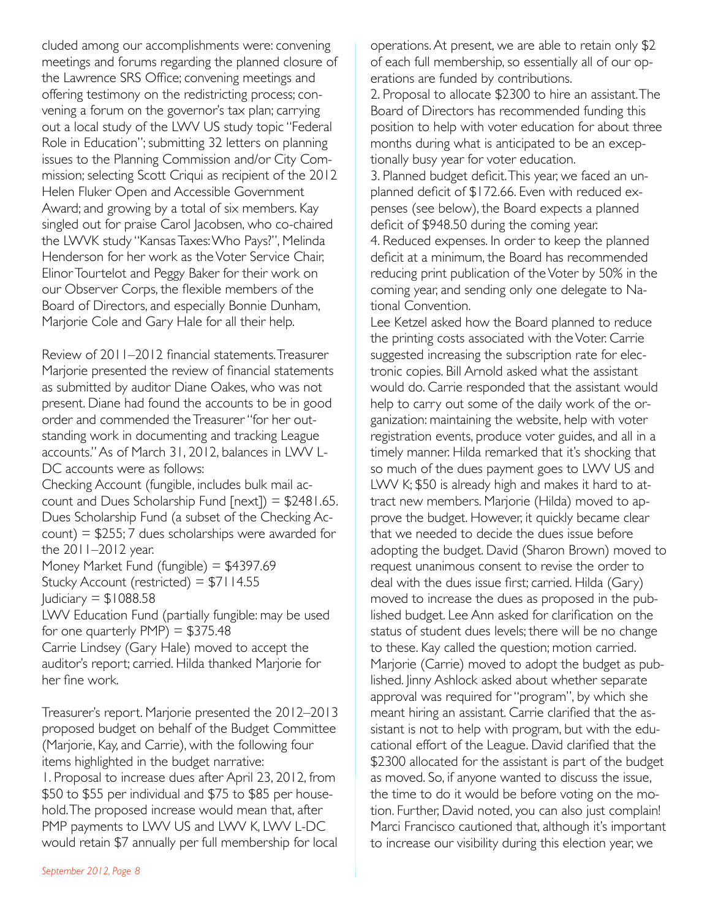cluded among our accomplishments were: convening meetings and forums regarding the planned closure of the Lawrence SRS Office; convening meetings and offering testimony on the redistricting process; convening a forum on the governor's tax plan; carrying out a local study of the LWV US study topic "Federal Role in Education"; submitting 32 letters on planning issues to the Planning Commission and/or City Commission; selecting Scott Criqui as recipient of the 2012 Helen Fluker Open and Accessible Government Award; and growing by a total of six members. Kay singled out for praise Carol Jacobsen, who co-chaired the LWVK study "Kansas Taxes: Who Pays?", Melinda Henderson for her work as the Voter Service Chair, Elinor Tourtelot and Peggy Baker for their work on our Observer Corps, the flexible members of the Board of Directors, and especially Bonnie Dunham, Marjorie Cole and Gary Hale for all their help.

Review of 2011–2012 financial statements. Treasurer Marjorie presented the review of financial statements as submitted by auditor Diane Oakes, who was not present. Diane had found the accounts to be in good order and commended the Treasurer "for her outstanding work in documenting and tracking League accounts." As of March 31, 2012, balances in LWV L-DC accounts were as follows:

Checking Account (fungible, includes bulk mail account and Dues Scholarship Fund  $[next]$  = \$2481.65. Dues Scholarship Fund (a subset of the Checking Ac $count$ ) = \$255; 7 dues scholarships were awarded for the 2011–2012 year.

Money Market Fund (fungible) = \$4397.69 Stucky Account (restricted) = \$7114.55 Judiciary  $=$  \$1088.58

LWV Education Fund (partially fungible: may be used for one quarterly  $PMP$ ) = \$375.48

Carrie Lindsey (Gary Hale) moved to accept the auditor's report; carried. Hilda thanked Marjorie for her fine work.

Treasurer's report. Marjorie presented the 2012–2013 proposed budget on behalf of the Budget Committee (Marjorie, Kay, and Carrie), with the following four items highlighted in the budget narrative: 1. Proposal to increase dues after April 23, 2012, from \$50 to \$55 per individual and \$75 to \$85 per household. The proposed increase would mean that, after PMP payments to LWV US and LWV K, LWV L-DC would retain \$7 annually per full membership for local

2. Proposal to allocate \$2300 to hire an assistant. The Board of Directors has recommended funding this position to help with voter education for about three months during what is anticipated to be an exceptionally busy year for voter education.

3. Planned budget deficit. This year, we faced an unplanned deficit of \$172.66. Even with reduced expenses (see below), the Board expects a planned deficit of \$948.50 during the coming year.

4. Reduced expenses. In order to keep the planned deficit at a minimum, the Board has recommended reducing print publication of the Voter by 50% in the coming year, and sending only one delegate to National Convention.

Lee Ketzel asked how the Board planned to reduce the printing costs associated with the Voter. Carrie suggested increasing the subscription rate for electronic copies. Bill Arnold asked what the assistant would do. Carrie responded that the assistant would help to carry out some of the daily work of the organization: maintaining the website, help with voter registration events, produce voter guides, and all in a timely manner. Hilda remarked that it's shocking that so much of the dues payment goes to LWV US and LWV K; \$50 is already high and makes it hard to attract new members. Marjorie (Hilda) moved to approve the budget. However, it quickly became clear that we needed to decide the dues issue before adopting the budget. David (Sharon Brown) moved to request unanimous consent to revise the order to deal with the dues issue first; carried. Hilda (Gary) moved to increase the dues as proposed in the published budget. Lee Ann asked for clarification on the status of student dues levels; there will be no change to these. Kay called the question; motion carried. Marjorie (Carrie) moved to adopt the budget as published. Jinny Ashlock asked about whether separate approval was required for "program", by which she meant hiring an assistant. Carrie clarified that the assistant is not to help with program, but with the educational effort of the League. David clarified that the \$2300 allocated for the assistant is part of the budget as moved. So, if anyone wanted to discuss the issue, the time to do it would be before voting on the motion. Further, David noted, you can also just complain! Marci Francisco cautioned that, although it's important to increase our visibility during this election year, we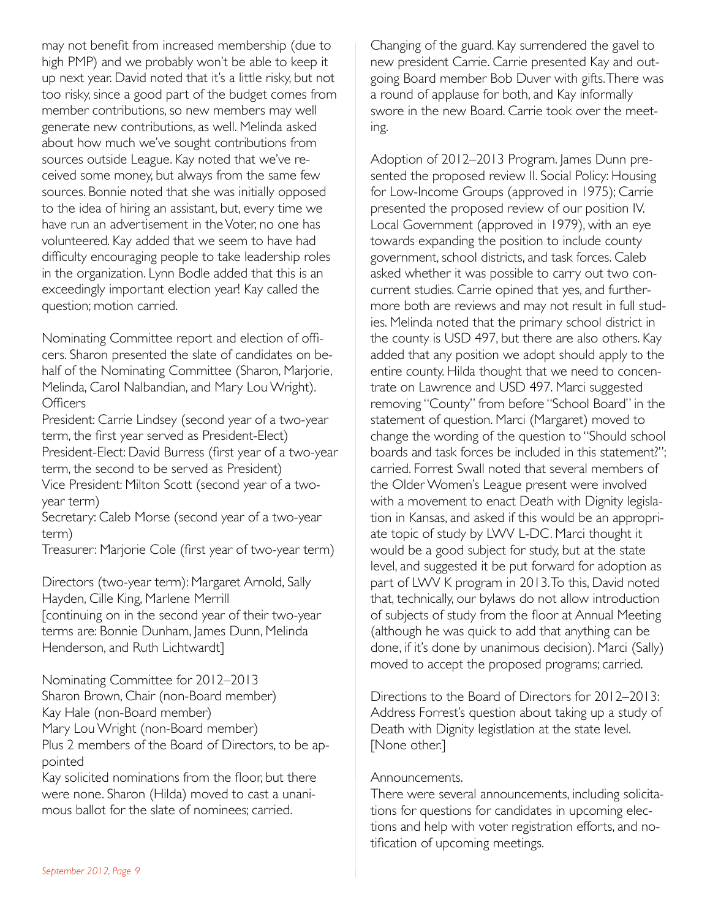may not benefit from increased membership (due to high PMP) and we probably won't be able to keep it up next year. David noted that it's a little risky, but not too risky, since a good part of the budget comes from member contributions, so new members may well generate new contributions, as well. Melinda asked about how much we've sought contributions from sources outside League. Kay noted that we've received some money, but always from the same few sources. Bonnie noted that she was initially opposed to the idea of hiring an assistant, but, every time we have run an advertisement in the Voter, no one has volunteered. Kay added that we seem to have had difficulty encouraging people to take leadership roles in the organization. Lynn Bodle added that this is an exceedingly important election year! Kay called the question; motion carried.

Nominating Committee report and election of officers. Sharon presented the slate of candidates on behalf of the Nominating Committee (Sharon, Marjorie, Melinda, Carol Nalbandian, and Mary Lou Wright). **Officers** 

President: Carrie Lindsey (second year of a two-year term, the first year served as President-Elect) President-Elect: David Burress (first year of a two-year term, the second to be served as President)

Vice President: Milton Scott (second year of a twoyear term)

Secretary: Caleb Morse (second year of a two-year term)

Treasurer: Marjorie Cole (first year of two-year term)

Directors (two-year term): Margaret Arnold, Sally Hayden, Cille King, Marlene Merrill [continuing on in the second year of their two-year terms are: Bonnie Dunham, James Dunn, Melinda Henderson, and Ruth Lichtwardt]

Nominating Committee for 2012–2013 Sharon Brown, Chair (non-Board member) Kay Hale (non-Board member) Mary Lou Wright (non-Board member) Plus 2 members of the Board of Directors, to be ap-

pointed

Kay solicited nominations from the floor, but there were none. Sharon (Hilda) moved to cast a unanimous ballot for the slate of nominees; carried.

Changing of the guard. Kay surrendered the gavel to new president Carrie. Carrie presented Kay and outgoing Board member Bob Duver with gifts. There was a round of applause for both, and Kay informally swore in the new Board. Carrie took over the meeting.

Adoption of 2012–2013 Program. James Dunn presented the proposed review II. Social Policy: Housing for Low-Income Groups (approved in 1975); Carrie presented the proposed review of our position IV. Local Government (approved in 1979), with an eye towards expanding the position to include county government, school districts, and task forces. Caleb asked whether it was possible to carry out two concurrent studies. Carrie opined that yes, and furthermore both are reviews and may not result in full studies. Melinda noted that the primary school district in the county is USD 497, but there are also others. Kay added that any position we adopt should apply to the entire county. Hilda thought that we need to concentrate on Lawrence and USD 497. Marci suggested removing "County" from before "School Board" in the statement of question. Marci (Margaret) moved to change the wording of the question to "Should school boards and task forces be included in this statement?"; carried. Forrest Swall noted that several members of the Older Women's League present were involved with a movement to enact Death with Dignity legislation in Kansas, and asked if this would be an appropriate topic of study by LWV L-DC. Marci thought it would be a good subject for study, but at the state level, and suggested it be put forward for adoption as part of LWV K program in 2013. To this, David noted that, technically, our bylaws do not allow introduction of subjects of study from the floor at Annual Meeting (although he was quick to add that anything can be done, if it's done by unanimous decision). Marci (Sally) moved to accept the proposed programs; carried.

Directions to the Board of Directors for 2012–2013: Address Forrest's question about taking up a study of Death with Dignity legistlation at the state level. [None other.]

#### Announcements.

There were several announcements, including solicitations for questions for candidates in upcoming elections and help with voter registration efforts, and notification of upcoming meetings.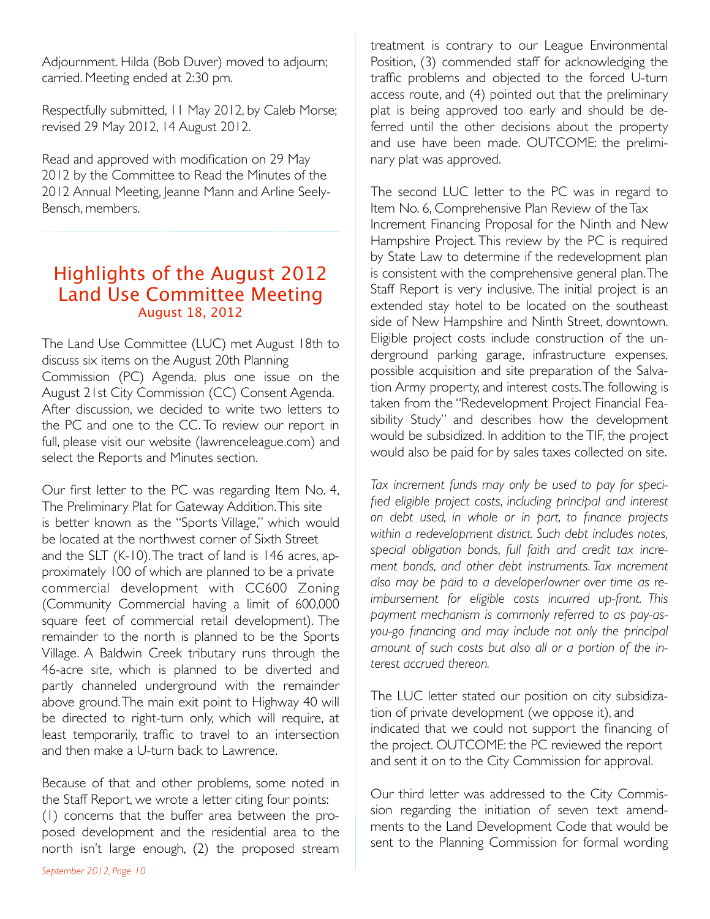Adjournment. Hilda (Bob Duver) moved to adjourn; carried. Meeting ended at 2:30 pm.

Respectfully submitted, 11 May 2012, by Caleb Morse; revised 29 May 2012, 14 August 2012.

Read and approved with modification on 29 May 2012 by the Committee to Read the Minutes of the 2012 Annual Meeting, Jeanne Mann and Arline Seely-Bensch, members.

# Highlights of the August 2012 Land Use Committee Meeting August 18, 2012

The Land Use Committee (LUC) met August 18th to discuss six items on the August 20th Planning Commission (PC) Agenda, plus one issue on the August 21st City Commission (CC) Consent Agenda. After discussion, we decided to write two letters to the PC and one to the CC. To review our report in full, please visit our website (lawrenceleague.com) and select the Reports and Minutes section.

Our first letter to the PC was regarding Item No. 4, The Preliminary Plat for Gateway Addition. This site is better known as the "Sports Village," which would be located at the northwest corner of Sixth Street and the SLT (K-10). The tract of land is 146 acres, approximately 100 of which are planned to be a private commercial development with CC600 Zoning (Community Commercial having a limit of 600,000 square feet of commercial retail development). The remainder to the north is planned to be the Sports Village. A Baldwin Creek tributary runs through the 46-acre site, which is planned to be diverted and partly channeled underground with the remainder above ground. The main exit point to Highway 40 will be directed to right-turn only, which will require, at least temporarily, traffic to travel to an intersection and then make a U-turn back to Lawrence.

Because of that and other problems, some noted in the Staff Report, we wrote a letter citing four points: (1) concerns that the buffer area between the proposed development and the residential area to the north isn't large enough, (2) the proposed stream treatment is contrary to our League Environmental Position, (3) commended staff for acknowledging the traffic problems and objected to the forced U-turn access route, and (4) pointed out that the preliminary plat is being approved too early and should be deferred until the other decisions about the property and use have been made. OUTCOME: the preliminary plat was approved.

The second LUC letter to the PC was in regard to Item No. 6, Comprehensive Plan Review of the Tax Increment Financing Proposal for the Ninth and New Hampshire Project. This review by the PC is required by State Law to determine if the redevelopment plan is consistent with the comprehensive general plan. The Staff Report is very inclusive. The initial project is an extended stay hotel to be located on the southeast side of New Hampshire and Ninth Street, downtown. Eligible project costs include construction of the underground parking garage, infrastructure expenses, possible acquisition and site preparation of the Salvation Army property, and interest costs. The following is taken from the "Redevelopment Project Financial Feasibility Study" and describes how the development would be subsidized. In addition to the TIF, the project would also be paid for by sales taxes collected on site.

*Tax increment funds may only be used to pay for specified eligible project costs, including principal and interest on debt used, in whole or in part, to finance projects within a redevelopment district. Such debt includes notes, special obligation bonds, full faith and credit tax increment bonds, and other debt instruments. Tax increment also may be paid to a developer/owner over time as reimbursement for eligible costs incurred up-front. This payment mechanism is commonly referred to as pay-asyou-go financing and may include not only the principal amount of such costs but also all or a portion of the interest accrued thereon.*

The LUC letter stated our position on city subsidization of private development (we oppose it), and indicated that we could not support the financing of the project. OUTCOME: the PC reviewed the report and sent it on to the City Commission for approval.

Our third letter was addressed to the City Commission regarding the initiation of seven text amendments to the Land Development Code that would be sent to the Planning Commission for formal wording